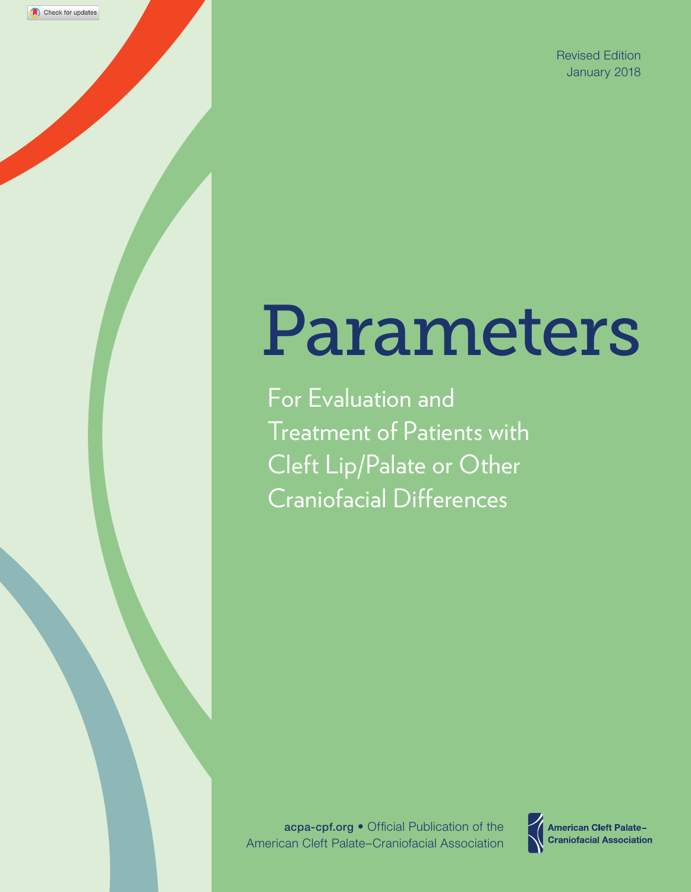# Parameters

For Evaluation and Treatment of Patients with Cleft Lip/Palate or Other Craniofacial Differences

Check for updates

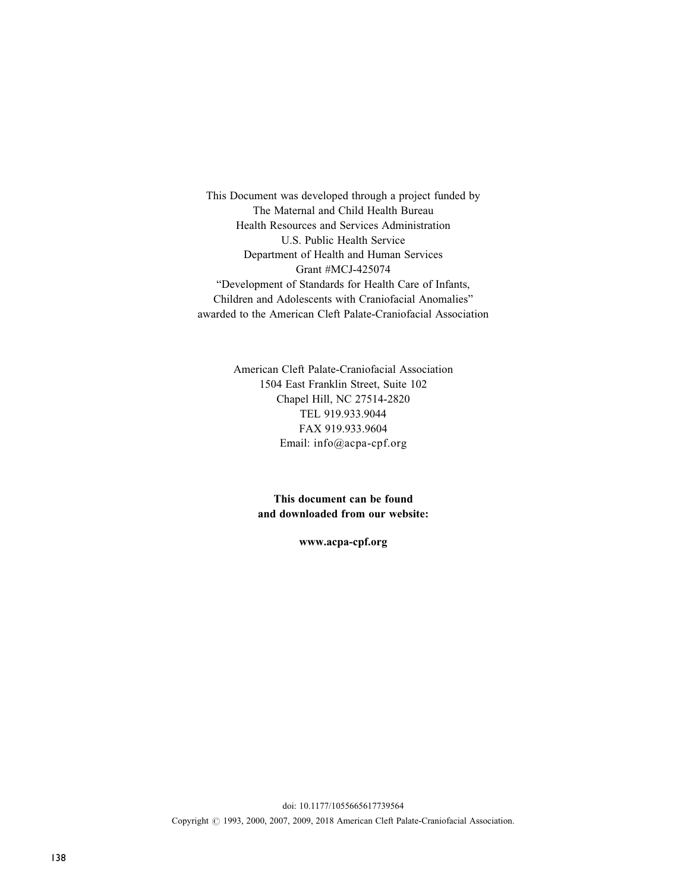This Document was developed through a project funded by The Maternal and Child Health Bureau Health Resources and Services Administration U.S. Public Health Service Department of Health and Human Services Grant #MCJ-425074 "Development of Standards for Health Care of Infants, Children and Adolescents with Craniofacial Anomalies" awarded to the American Cleft Palate-Craniofacial Association

> American Cleft Palate-Craniofacial Association 1504 East Franklin Street, Suite 102 Chapel Hill, NC 27514-2820 TEL 919.933.9044 FAX 919.933.9604 Email: [info@acpa-cpf.org](mailto:info@acpa-cpf.org)

> > This document can be found and downloaded from our website:

> > > [www.acpa-cpf.org](http://www.acpa-cpf.org)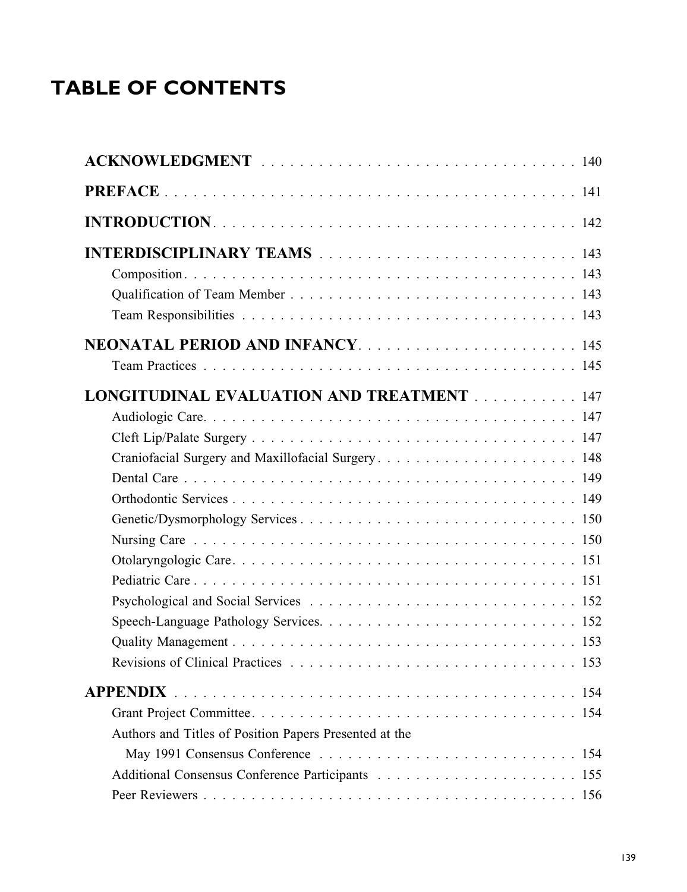# TABLE OF CONTENTS

| NEONATAL PERIOD AND INFANCY145                         |
|--------------------------------------------------------|
|                                                        |
| <b>LONGITUDINAL EVALUATION AND TREATMENT 147</b>       |
|                                                        |
|                                                        |
| Craniofacial Surgery and Maxillofacial Surgery 148     |
|                                                        |
|                                                        |
|                                                        |
|                                                        |
|                                                        |
|                                                        |
|                                                        |
|                                                        |
|                                                        |
|                                                        |
| <b>APPENDIX</b>                                        |
|                                                        |
| Authors and Titles of Position Papers Presented at the |
|                                                        |
|                                                        |
|                                                        |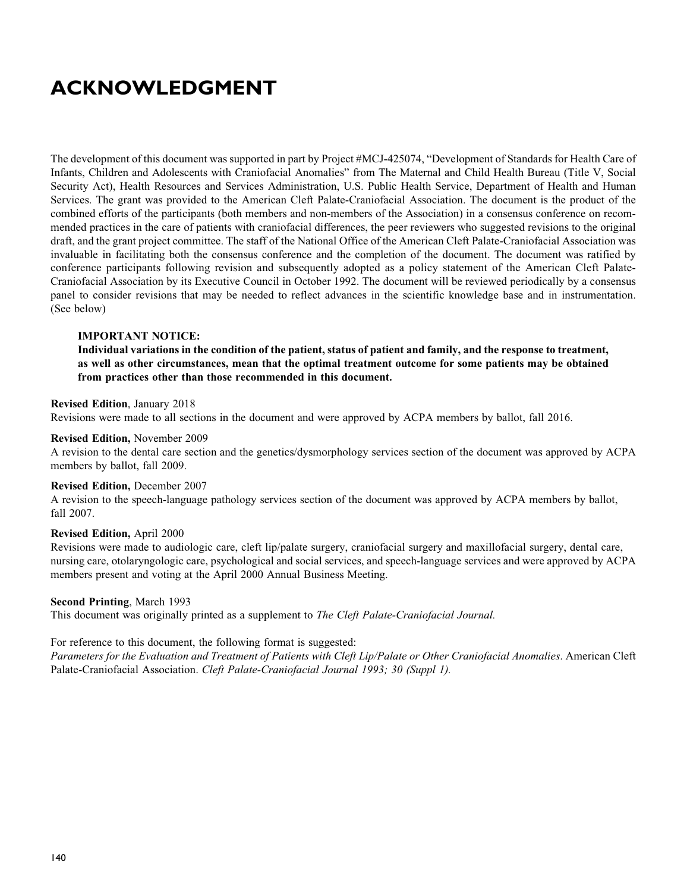# ACKNOWLEDGMENT

The development of this document was supported in part by Project #MCJ-425074, "Development of Standards for Health Care of Infants, Children and Adolescents with Craniofacial Anomalies" from The Maternal and Child Health Bureau (Title V, Social Security Act), Health Resources and Services Administration, U.S. Public Health Service, Department of Health and Human Services. The grant was provided to the American Cleft Palate-Craniofacial Association. The document is the product of the combined efforts of the participants (both members and non-members of the Association) in a consensus conference on recommended practices in the care of patients with craniofacial differences, the peer reviewers who suggested revisions to the original draft, and the grant project committee. The staff of the National Office of the American Cleft Palate-Craniofacial Association was invaluable in facilitating both the consensus conference and the completion of the document. The document was ratified by conference participants following revision and subsequently adopted as a policy statement of the American Cleft Palate-Craniofacial Association by its Executive Council in October 1992. The document will be reviewed periodically by a consensus panel to consider revisions that may be needed to reflect advances in the scientific knowledge base and in instrumentation. (See below)

## IMPORTANT NOTICE:

Individual variations in the condition of the patient, status of patient and family, and the response to treatment, as well as other circumstances, mean that the optimal treatment outcome for some patients may be obtained from practices other than those recommended in this document.

#### Revised Edition, January 2018

Revisions were made to all sections in the document and were approved by ACPA members by ballot, fall 2016.

#### Revised Edition, November 2009

A revision to the dental care section and the genetics/dysmorphology services section of the document was approved by ACPA members by ballot, fall 2009.

#### Revised Edition, December 2007

A revision to the speech-language pathology services section of the document was approved by ACPA members by ballot, fall 2007.

#### Revised Edition, April 2000

Revisions were made to audiologic care, cleft lip/palate surgery, craniofacial surgery and maxillofacial surgery, dental care, nursing care, otolaryngologic care, psychological and social services, and speech-language services and were approved by ACPA members present and voting at the April 2000 Annual Business Meeting.

#### Second Printing, March 1993

This document was originally printed as a supplement to *The Cleft Palate-Craniofacial Journal*.

## For reference to this document, the following format is suggested:

Parameters for the Evaluation and Treatment of Patients with Cleft Lip/Palate or Other Craniofacial Anomalies. American Cleft Palate-Craniofacial Association. Cleft Palate-Craniofacial Journal 1993; 30 (Suppl 1).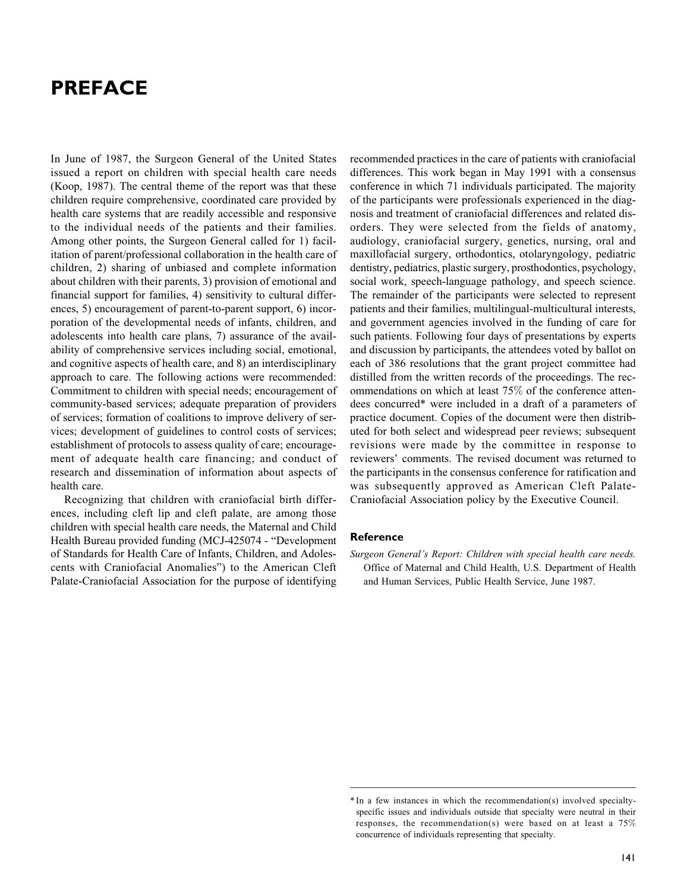# PREFACE

In June of 1987, the Surgeon General of the United States issued a report on children with special health care needs (Koop, 1987). The central theme of the report was that these children require comprehensive, coordinated care provided by health care systems that are readily accessible and responsive to the individual needs of the patients and their families. Among other points, the Surgeon General called for 1) facilitation of parent/professional collaboration in the health care of children, 2) sharing of unbiased and complete information about children with their parents, 3) provision of emotional and financial support for families, 4) sensitivity to cultural differences, 5) encouragement of parent-to-parent support, 6) incorporation of the developmental needs of infants, children, and adolescents into health care plans, 7) assurance of the availability of comprehensive services including social, emotional, and cognitive aspects of health care, and 8) an interdisciplinary approach to care. The following actions were recommended: Commitment to children with special needs; encouragement of community-based services; adequate preparation of providers of services; formation of coalitions to improve delivery of services; development of guidelines to control costs of services; establishment of protocols to assess quality of care; encouragement of adequate health care financing; and conduct of research and dissemination of information about aspects of health care.

Recognizing that children with craniofacial birth differences, including cleft lip and cleft palate, are among those children with special health care needs, the Maternal and Child Health Bureau provided funding (MCJ-425074 - "Development of Standards for Health Care of Infants, Children, and Adolescents with Craniofacial Anomalies") to the American Cleft Palate-Craniofacial Association for the purpose of identifying

recommended practices in the care of patients with craniofacial differences. This work began in May 1991 with a consensus conference in which 71 individuals participated. The majority of the participants were professionals experienced in the diagnosis and treatment of craniofacial differences and related disorders. They were selected from the fields of anatomy, audiology, craniofacial surgery, genetics, nursing, oral and maxillofacial surgery, orthodontics, otolaryngology, pediatric dentistry, pediatrics, plastic surgery, prosthodontics, psychology, social work, speech-language pathology, and speech science. The remainder of the participants were selected to represent patients and their families, multilingual-multicultural interests, and government agencies involved in the funding of care for such patients. Following four days of presentations by experts and discussion by participants, the attendees voted by ballot on each of 386 resolutions that the grant project committee had distilled from the written records of the proceedings. The recommendations on which at least 75% of the conference attendees concurred\* were included in a draft of a parameters of practice document. Copies of the document were then distributed for both select and widespread peer reviews; subsequent revisions were made by the committee in response to reviewers' comments. The revised document was returned to the participants in the consensus conference for ratification and was subsequently approved as American Cleft Palate-Craniofacial Association policy by the Executive Council.

#### Reference

Surgeon General's Report: Children with special health care needs. Office of Maternal and Child Health, U.S. Department of Health and Human Services, Public Health Service, June 1987.

<sup>\*</sup> In a few instances in which the recommendation(s) involved specialtyspecific issues and individuals outside that specialty were neutral in their responses, the recommendation(s) were based on at least a 75% concurrence of individuals representing that specialty.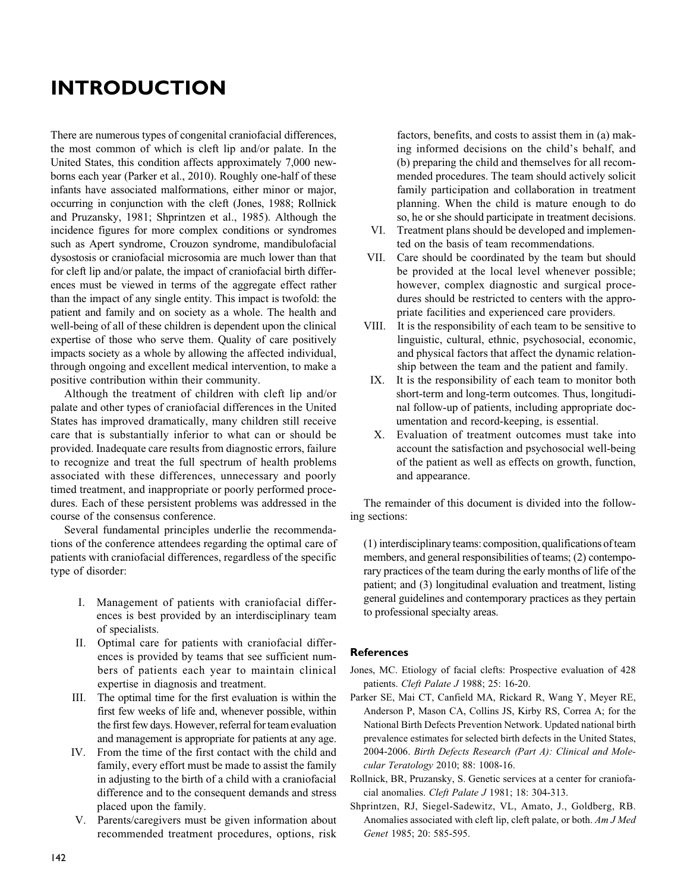# INTRODUCTION

There are numerous types of congenital craniofacial differences, the most common of which is cleft lip and/or palate. In the United States, this condition affects approximately 7,000 newborns each year (Parker et al., 2010). Roughly one-half of these infants have associated malformations, either minor or major, occurring in conjunction with the cleft (Jones, 1988; Rollnick and Pruzansky, 1981; Shprintzen et al., 1985). Although the incidence figures for more complex conditions or syndromes such as Apert syndrome, Crouzon syndrome, mandibulofacial dysostosis or craniofacial microsomia are much lower than that for cleft lip and/or palate, the impact of craniofacial birth differences must be viewed in terms of the aggregate effect rather than the impact of any single entity. This impact is twofold: the patient and family and on society as a whole. The health and well-being of all of these children is dependent upon the clinical expertise of those who serve them. Quality of care positively impacts society as a whole by allowing the affected individual, through ongoing and excellent medical intervention, to make a positive contribution within their community.

Although the treatment of children with cleft lip and/or palate and other types of craniofacial differences in the United States has improved dramatically, many children still receive care that is substantially inferior to what can or should be provided. Inadequate care results from diagnostic errors, failure to recognize and treat the full spectrum of health problems associated with these differences, unnecessary and poorly timed treatment, and inappropriate or poorly performed procedures. Each of these persistent problems was addressed in the course of the consensus conference.

Several fundamental principles underlie the recommendations of the conference attendees regarding the optimal care of patients with craniofacial differences, regardless of the specific type of disorder:

- I. Management of patients with craniofacial differences is best provided by an interdisciplinary team of specialists.
- II. Optimal care for patients with craniofacial differences is provided by teams that see sufficient numbers of patients each year to maintain clinical expertise in diagnosis and treatment.
- III. The optimal time for the first evaluation is within the first few weeks of life and, whenever possible, within the first few days. However, referral for team evaluation and management is appropriate for patients at any age.
- IV. From the time of the first contact with the child and family, every effort must be made to assist the family in adjusting to the birth of a child with a craniofacial difference and to the consequent demands and stress placed upon the family.
- V. Parents/caregivers must be given information about recommended treatment procedures, options, risk

factors, benefits, and costs to assist them in (a) making informed decisions on the child's behalf, and (b) preparing the child and themselves for all recommended procedures. The team should actively solicit family participation and collaboration in treatment planning. When the child is mature enough to do so, he or she should participate in treatment decisions.

- VI. Treatment plans should be developed and implemented on the basis of team recommendations.
- VII. Care should be coordinated by the team but should be provided at the local level whenever possible; however, complex diagnostic and surgical procedures should be restricted to centers with the appropriate facilities and experienced care providers.
- VIII. It is the responsibility of each team to be sensitive to linguistic, cultural, ethnic, psychosocial, economic, and physical factors that affect the dynamic relationship between the team and the patient and family.
- IX. It is the responsibility of each team to monitor both short-term and long-term outcomes. Thus, longitudinal follow-up of patients, including appropriate documentation and record-keeping, is essential.
- X. Evaluation of treatment outcomes must take into account the satisfaction and psychosocial well-being of the patient as well as effects on growth, function, and appearance.

The remainder of this document is divided into the following sections:

(1) interdisciplinaryteams: composition, qualifications ofteam members, and general responsibilities of teams; (2) contemporary practices of the team during the early months of life of the patient; and (3) longitudinal evaluation and treatment, listing general guidelines and contemporary practices as they pertain to professional specialty areas.

#### **References**

- Jones, MC. Etiology of facial clefts: Prospective evaluation of 428 patients. Cleft Palate J 1988; 25: 16-20.
- Parker SE, Mai CT, Canfield MA, Rickard R, Wang Y, Meyer RE, Anderson P, Mason CA, Collins JS, Kirby RS, Correa A; for the National Birth Defects Prevention Network. Updated national birth prevalence estimates for selected birth defects in the United States, 2004-2006. Birth Defects Research (Part A): Clinical and Molecular Teratology 2010; 88: 1008-16.
- Rollnick, BR, Pruzansky, S. Genetic services at a center for craniofacial anomalies. Cleft Palate J 1981; 18: 304-313.
- Shprintzen, RJ, Siegel-Sadewitz, VL, Amato, J., Goldberg, RB. Anomalies associated with cleft lip, cleft palate, or both. Am J Med Genet 1985; 20: 585-595.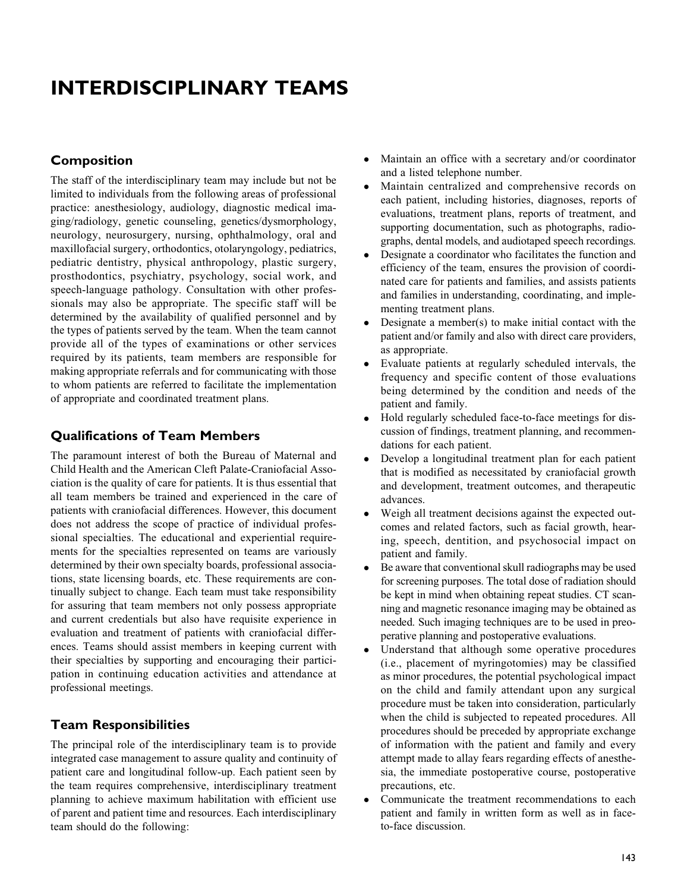# INTERDISCIPLINARY TEAMS

## Composition

The staff of the interdisciplinary team may include but not be limited to individuals from the following areas of professional practice: anesthesiology, audiology, diagnostic medical imaging/radiology, genetic counseling, genetics/dysmorphology, neurology, neurosurgery, nursing, ophthalmology, oral and maxillofacial surgery, orthodontics, otolaryngology, pediatrics, pediatric dentistry, physical anthropology, plastic surgery, prosthodontics, psychiatry, psychology, social work, and speech-language pathology. Consultation with other professionals may also be appropriate. The specific staff will be determined by the availability of qualified personnel and by the types of patients served by the team. When the team cannot provide all of the types of examinations or other services required by its patients, team members are responsible for making appropriate referrals and for communicating with those to whom patients are referred to facilitate the implementation of appropriate and coordinated treatment plans.

# Qualifications of Team Members

The paramount interest of both the Bureau of Maternal and Child Health and the American Cleft Palate-Craniofacial Association is the quality of care for patients. It is thus essential that all team members be trained and experienced in the care of patients with craniofacial differences. However, this document does not address the scope of practice of individual professional specialties. The educational and experiential requirements for the specialties represented on teams are variously determined by their own specialty boards, professional associations, state licensing boards, etc. These requirements are continually subject to change. Each team must take responsibility for assuring that team members not only possess appropriate and current credentials but also have requisite experience in evaluation and treatment of patients with craniofacial differences. Teams should assist members in keeping current with their specialties by supporting and encouraging their participation in continuing education activities and attendance at professional meetings.

# Team Responsibilities

The principal role of the interdisciplinary team is to provide integrated case management to assure quality and continuity of patient care and longitudinal follow-up. Each patient seen by the team requires comprehensive, interdisciplinary treatment planning to achieve maximum habilitation with efficient use of parent and patient time and resources. Each interdisciplinary team should do the following:

- $\bullet$  Maintain an office with a secretary and/or coordinator and a listed telephone number.
- $\bullet$  Maintain centralized and comprehensive records on each patient, including histories, diagnoses, reports of evaluations, treatment plans, reports of treatment, and supporting documentation, such as photographs, radiographs, dental models, and audiotaped speech recordings.
- $\bullet$  Designate a coordinator who facilitates the function and efficiency of the team, ensures the provision of coordinated care for patients and families, and assists patients and families in understanding, coordinating, and implementing treatment plans.
- $\bullet$  Designate a member(s) to make initial contact with the patient and/or family and also with direct care providers, as appropriate.
- $\bullet$  Evaluate patients at regularly scheduled intervals, the frequency and specific content of those evaluations being determined by the condition and needs of the patient and family.
- $\bullet$  Hold regularly scheduled face-to-face meetings for discussion of findings, treatment planning, and recommendations for each patient.
- $\bullet$  Develop a longitudinal treatment plan for each patient that is modified as necessitated by craniofacial growth and development, treatment outcomes, and therapeutic advances.
- $\bullet$  Weigh all treatment decisions against the expected outcomes and related factors, such as facial growth, hearing, speech, dentition, and psychosocial impact on patient and family.
- $\bullet$  Be aware that conventional skull radiographs may be used for screening purposes. The total dose of radiation should be kept in mind when obtaining repeat studies. CT scanning and magnetic resonance imaging may be obtained as needed. Such imaging techniques are to be used in preoperative planning and postoperative evaluations.
- $\bullet$  Understand that although some operative procedures (i.e., placement of myringotomies) may be classified as minor procedures, the potential psychological impact on the child and family attendant upon any surgical procedure must be taken into consideration, particularly when the child is subjected to repeated procedures. All procedures should be preceded by appropriate exchange of information with the patient and family and every attempt made to allay fears regarding effects of anesthesia, the immediate postoperative course, postoperative precautions, etc.
- $\bullet$  Communicate the treatment recommendations to each patient and family in written form as well as in faceto-face discussion.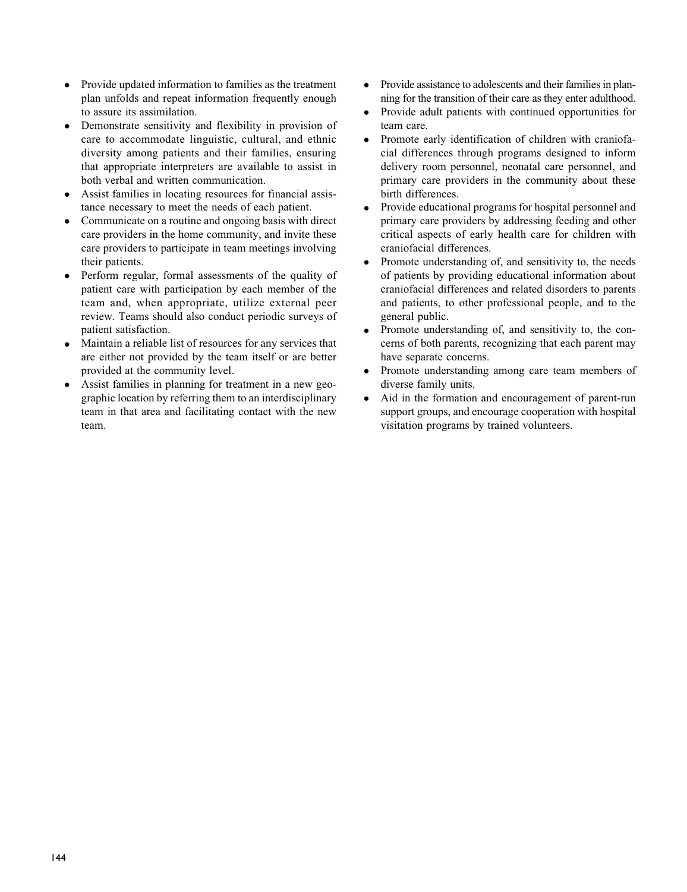- $\bullet$  Provide updated information to families as the treatment plan unfolds and repeat information frequently enough to assure its assimilation.
- $\bullet$  Demonstrate sensitivity and flexibility in provision of care to accommodate linguistic, cultural, and ethnic diversity among patients and their families, ensuring that appropriate interpreters are available to assist in both verbal and written communication.
- $\bullet$  Assist families in locating resources for financial assistance necessary to meet the needs of each patient.
- $\bullet$  Communicate on a routine and ongoing basis with direct care providers in the home community, and invite these care providers to participate in team meetings involving their patients.
- $\bullet$  Perform regular, formal assessments of the quality of patient care with participation by each member of the team and, when appropriate, utilize external peer review. Teams should also conduct periodic surveys of patient satisfaction.
- $\bullet$  Maintain a reliable list of resources for any services that are either not provided by the team itself or are better provided at the community level.
- $\bullet$  Assist families in planning for treatment in a new geographic location by referring them to an interdisciplinary team in that area and facilitating contact with the new team.
- $\bullet$  Provide assistance to adolescents and their families in planning for the transition of their care as they enter adulthood.
- $\bullet$  Provide adult patients with continued opportunities for team care.
- $\bullet$  Promote early identification of children with craniofacial differences through programs designed to inform delivery room personnel, neonatal care personnel, and primary care providers in the community about these birth differences.
- $\bullet$  Provide educational programs for hospital personnel and primary care providers by addressing feeding and other critical aspects of early health care for children with craniofacial differences.
- $\bullet$  Promote understanding of, and sensitivity to, the needs of patients by providing educational information about craniofacial differences and related disorders to parents and patients, to other professional people, and to the general public.
- $\bullet$  Promote understanding of, and sensitivity to, the concerns of both parents, recognizing that each parent may have separate concerns.
- $\bullet$  Promote understanding among care team members of diverse family units.
- $\bullet$  Aid in the formation and encouragement of parent-run support groups, and encourage cooperation with hospital visitation programs by trained volunteers.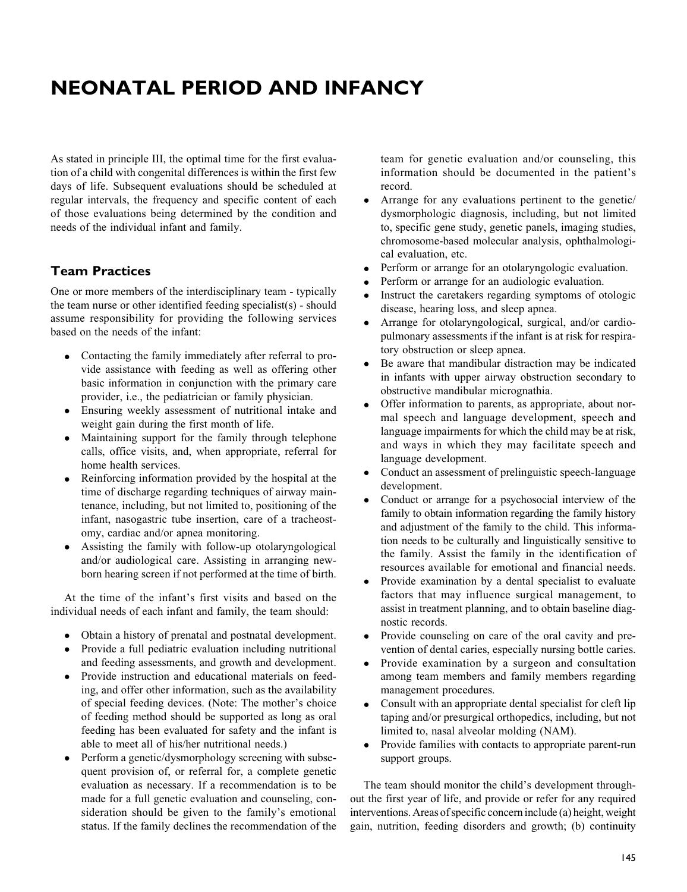# NEONATAL PERIOD AND INFANCY

As stated in principle III, the optimal time for the first evaluation of a child with congenital differences is within the first few days of life. Subsequent evaluations should be scheduled at regular intervals, the frequency and specific content of each of those evaluations being determined by the condition and needs of the individual infant and family.

## Team Practices

One or more members of the interdisciplinary team - typically the team nurse or other identified feeding specialist(s) - should assume responsibility for providing the following services based on the needs of the infant:

- $\bullet$  Contacting the family immediately after referral to provide assistance with feeding as well as offering other basic information in conjunction with the primary care provider, i.e., the pediatrician or family physician.
- Ensuring weekly assessment of nutritional intake and weight gain during the first month of life.
- $\bullet$  Maintaining support for the family through telephone calls, office visits, and, when appropriate, referral for home health services.
- $\bullet$  Reinforcing information provided by the hospital at the time of discharge regarding techniques of airway maintenance, including, but not limited to, positioning of the infant, nasogastric tube insertion, care of a tracheostomy, cardiac and/or apnea monitoring.
- $\bullet$  Assisting the family with follow-up otolaryngological and/or audiological care. Assisting in arranging newborn hearing screen if not performed at the time of birth.

At the time of the infant's first visits and based on the individual needs of each infant and family, the team should:

- Obtain a history of prenatal and postnatal development.
- $\bullet$  Provide a full pediatric evaluation including nutritional and feeding assessments, and growth and development.
- $\bullet$  Provide instruction and educational materials on feeding, and offer other information, such as the availability of special feeding devices. (Note: The mother's choice of feeding method should be supported as long as oral feeding has been evaluated for safety and the infant is able to meet all of his/her nutritional needs.)
- $\bullet$  Perform a genetic/dysmorphology screening with subsequent provision of, or referral for, a complete genetic evaluation as necessary. If a recommendation is to be made for a full genetic evaluation and counseling, consideration should be given to the family's emotional status. If the family declines the recommendation of the

team for genetic evaluation and/or counseling, this information should be documented in the patient's record.

- $\bullet$  Arrange for any evaluations pertinent to the genetic/ dysmorphologic diagnosis, including, but not limited to, specific gene study, genetic panels, imaging studies, chromosome-based molecular analysis, ophthalmological evaluation, etc.
- $\bullet$ Perform or arrange for an otolaryngologic evaluation.
- $\bullet$ Perform or arrange for an audiologic evaluation.
- $\bullet$  Instruct the caretakers regarding symptoms of otologic disease, hearing loss, and sleep apnea.
- - Arrange for otolaryngological, surgical, and/or cardiopulmonary assessments if the infant is at risk for respiratory obstruction or sleep apnea.
- $\bullet$  Be aware that mandibular distraction may be indicated in infants with upper airway obstruction secondary to obstructive mandibular micrognathia.
- $\bullet$  Offer information to parents, as appropriate, about normal speech and language development, speech and language impairments for which the child may be at risk, and ways in which they may facilitate speech and language development.
- $\bullet$  Conduct an assessment of prelinguistic speech-language development.
- $\bullet$  Conduct or arrange for a psychosocial interview of the family to obtain information regarding the family history and adjustment of the family to the child. This information needs to be culturally and linguistically sensitive to the family. Assist the family in the identification of resources available for emotional and financial needs.
- $\bullet$  Provide examination by a dental specialist to evaluate factors that may influence surgical management, to assist in treatment planning, and to obtain baseline diagnostic records.
- $\bullet$  Provide counseling on care of the oral cavity and prevention of dental caries, especially nursing bottle caries.
- $\bullet$  Provide examination by a surgeon and consultation among team members and family members regarding management procedures.
- $\bullet$  Consult with an appropriate dental specialist for cleft lip taping and/or presurgical orthopedics, including, but not limited to, nasal alveolar molding (NAM).
- $\bullet$  Provide families with contacts to appropriate parent-run support groups.

The team should monitor the child's development throughout the first year of life, and provide or refer for any required interventions. Areas of specific concern include (a) height, weight gain, nutrition, feeding disorders and growth; (b) continuity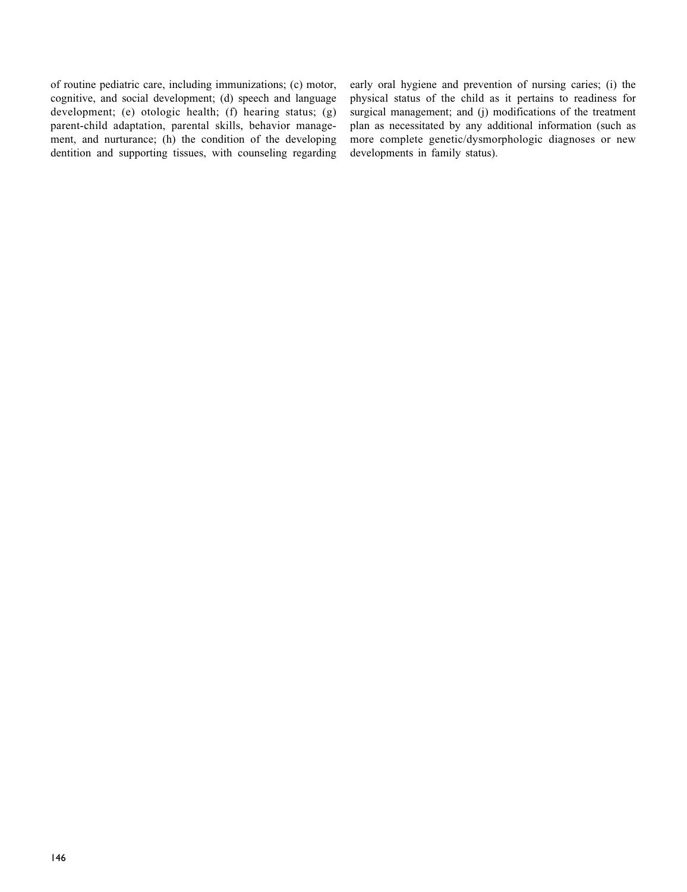of routine pediatric care, including immunizations; (c) motor, cognitive, and social development; (d) speech and language development; (e) otologic health; (f) hearing status; (g) parent-child adaptation, parental skills, behavior management, and nurturance; (h) the condition of the developing dentition and supporting tissues, with counseling regarding early oral hygiene and prevention of nursing caries; (i) the physical status of the child as it pertains to readiness for surgical management; and (j) modifications of the treatment plan as necessitated by any additional information (such as more complete genetic/dysmorphologic diagnoses or new developments in family status).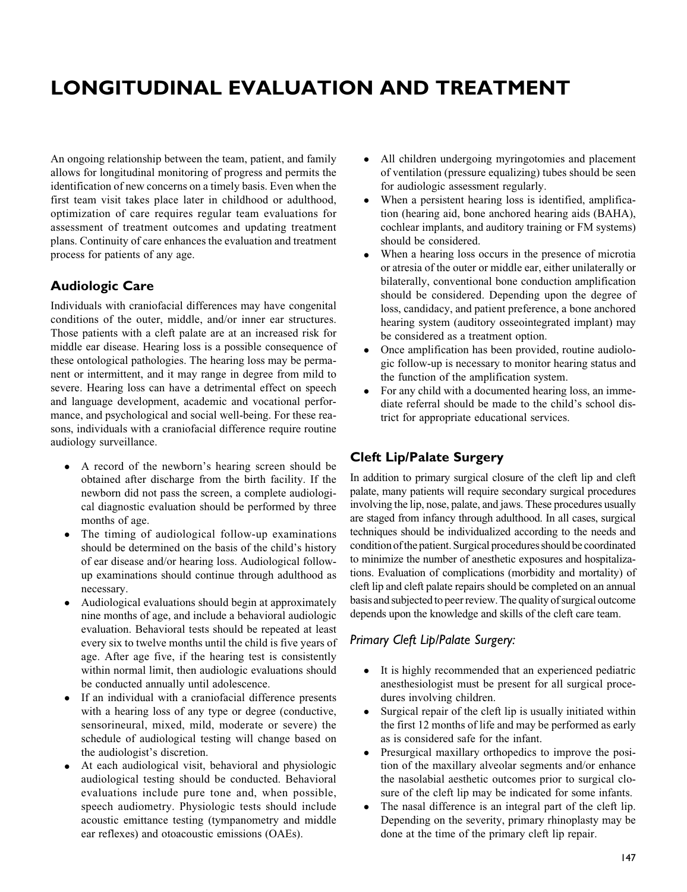# LONGITUDINAL EVALUATION AND TREATMENT

An ongoing relationship between the team, patient, and family allows for longitudinal monitoring of progress and permits the identification of new concerns on a timely basis. Even when the first team visit takes place later in childhood or adulthood, optimization of care requires regular team evaluations for assessment of treatment outcomes and updating treatment plans. Continuity of care enhances the evaluation and treatment process for patients of any age.

## Audiologic Care

Individuals with craniofacial differences may have congenital conditions of the outer, middle, and/or inner ear structures. Those patients with a cleft palate are at an increased risk for middle ear disease. Hearing loss is a possible consequence of these ontological pathologies. The hearing loss may be permanent or intermittent, and it may range in degree from mild to severe. Hearing loss can have a detrimental effect on speech and language development, academic and vocational performance, and psychological and social well-being. For these reasons, individuals with a craniofacial difference require routine audiology surveillance.

- A record of the newborn's hearing screen should be obtained after discharge from the birth facility. If the newborn did not pass the screen, a complete audiological diagnostic evaluation should be performed by three months of age.
- $\bullet$  The timing of audiological follow-up examinations should be determined on the basis of the child's history of ear disease and/or hearing loss. Audiological followup examinations should continue through adulthood as necessary.
- $\bullet$  Audiological evaluations should begin at approximately nine months of age, and include a behavioral audiologic evaluation. Behavioral tests should be repeated at least every six to twelve months until the child is five years of age. After age five, if the hearing test is consistently within normal limit, then audiologic evaluations should be conducted annually until adolescence.
- $\bullet$  If an individual with a craniofacial difference presents with a hearing loss of any type or degree (conductive, sensorineural, mixed, mild, moderate or severe) the schedule of audiological testing will change based on the audiologist's discretion.
- $\bullet$  At each audiological visit, behavioral and physiologic audiological testing should be conducted. Behavioral evaluations include pure tone and, when possible, speech audiometry. Physiologic tests should include acoustic emittance testing (tympanometry and middle ear reflexes) and otoacoustic emissions (OAEs).
- $\bullet$  All children undergoing myringotomies and placement of ventilation (pressure equalizing) tubes should be seen for audiologic assessment regularly.
- $\bullet$  When a persistent hearing loss is identified, amplification (hearing aid, bone anchored hearing aids (BAHA), cochlear implants, and auditory training or FM systems) should be considered.
- $\bullet$  When a hearing loss occurs in the presence of microtia or atresia of the outer or middle ear, either unilaterally or bilaterally, conventional bone conduction amplification should be considered. Depending upon the degree of loss, candidacy, and patient preference, a bone anchored hearing system (auditory osseointegrated implant) may be considered as a treatment option.
- $\bullet$  Once amplification has been provided, routine audiologic follow-up is necessary to monitor hearing status and the function of the amplification system.
- $\bullet$  For any child with a documented hearing loss, an immediate referral should be made to the child's school district for appropriate educational services.

## Cleft Lip/Palate Surgery

In addition to primary surgical closure of the cleft lip and cleft palate, many patients will require secondary surgical procedures involving the lip, nose, palate, and jaws. These procedures usually are staged from infancy through adulthood. In all cases, surgical techniques should be individualized according to the needs and condition ofthe patient. Surgical procedures should be coordinated to minimize the number of anesthetic exposures and hospitalizations. Evaluation of complications (morbidity and mortality) of cleft lip and cleft palate repairs should be completed on an annual basis and subjected to peer review. The quality of surgical outcome depends upon the knowledge and skills of the cleft care team.

## Primary Cleft Lip/Palate Surgery:

- $\bullet$  It is highly recommended that an experienced pediatric anesthesiologist must be present for all surgical procedures involving children.
- $\bullet$  Surgical repair of the cleft lip is usually initiated within the first 12 months of life and may be performed as early as is considered safe for the infant.
- $\bullet$  Presurgical maxillary orthopedics to improve the position of the maxillary alveolar segments and/or enhance the nasolabial aesthetic outcomes prior to surgical closure of the cleft lip may be indicated for some infants.
- $\bullet$  The nasal difference is an integral part of the cleft lip. Depending on the severity, primary rhinoplasty may be done at the time of the primary cleft lip repair.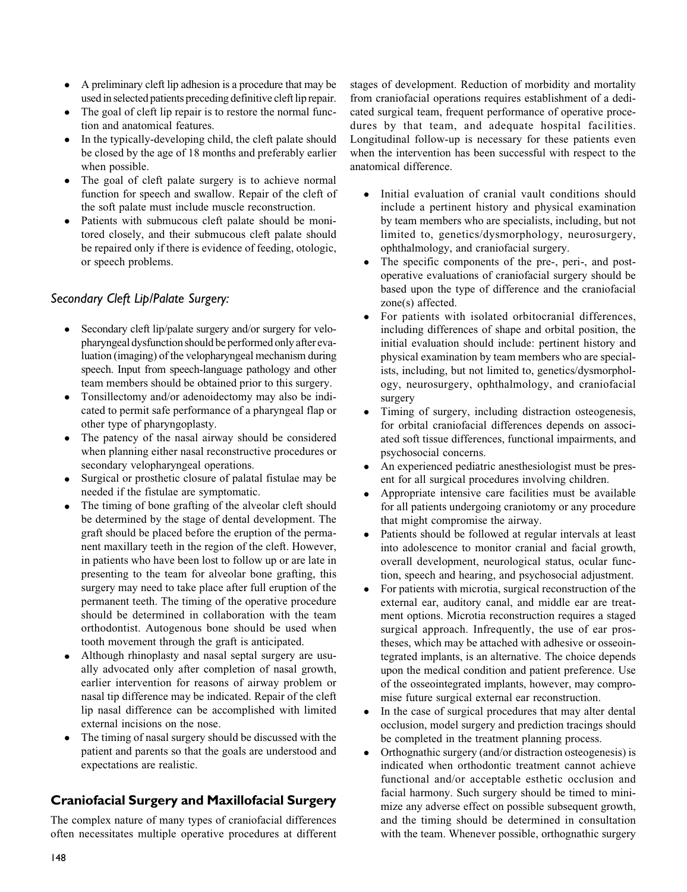- A preliminary cleft lip adhesion is a procedure that may be used in selected patients preceding definitive cleft lip repair.
- The goal of cleft lip repair is to restore the normal function and anatomical features.
- $\bullet$  In the typically-developing child, the cleft palate should be closed by the age of 18 months and preferably earlier when possible.
- The goal of cleft palate surgery is to achieve normal function for speech and swallow. Repair of the cleft of the soft palate must include muscle reconstruction.
- $\bullet$  Patients with submucous cleft palate should be monitored closely, and their submucous cleft palate should be repaired only if there is evidence of feeding, otologic, or speech problems.

## Secondary Cleft Lip/Palate Surgery:

- $\bullet$  Secondary cleft lip/palate surgery and/or surgery for velopharyngeal dysfunction should be performed only after evaluation (imaging) of the velopharyngeal mechanism during speech. Input from speech-language pathology and other team members should be obtained prior to this surgery.
- $\bullet$  Tonsillectomy and/or adenoidectomy may also be indicated to permit safe performance of a pharyngeal flap or other type of pharyngoplasty.
- $\bullet$  The patency of the nasal airway should be considered when planning either nasal reconstructive procedures or secondary velopharyngeal operations.
- $\bullet$  Surgical or prosthetic closure of palatal fistulae may be needed if the fistulae are symptomatic.
- The timing of bone grafting of the alveolar cleft should be determined by the stage of dental development. The graft should be placed before the eruption of the permanent maxillary teeth in the region of the cleft. However, in patients who have been lost to follow up or are late in presenting to the team for alveolar bone grafting, this surgery may need to take place after full eruption of the permanent teeth. The timing of the operative procedure should be determined in collaboration with the team orthodontist. Autogenous bone should be used when tooth movement through the graft is anticipated.
- $\bullet$  Although rhinoplasty and nasal septal surgery are usually advocated only after completion of nasal growth, earlier intervention for reasons of airway problem or nasal tip difference may be indicated. Repair of the cleft lip nasal difference can be accomplished with limited external incisions on the nose.
- $\bullet$  The timing of nasal surgery should be discussed with the patient and parents so that the goals are understood and expectations are realistic.

## Craniofacial Surgery and Maxillofacial Surgery

The complex nature of many types of craniofacial differences often necessitates multiple operative procedures at different stages of development. Reduction of morbidity and mortality from craniofacial operations requires establishment of a dedicated surgical team, frequent performance of operative procedures by that team, and adequate hospital facilities. Longitudinal follow-up is necessary for these patients even when the intervention has been successful with respect to the anatomical difference.

- $\bullet$  Initial evaluation of cranial vault conditions should include a pertinent history and physical examination by team members who are specialists, including, but not limited to, genetics/dysmorphology, neurosurgery, ophthalmology, and craniofacial surgery.
- $\bullet$  The specific components of the pre-, peri-, and postoperative evaluations of craniofacial surgery should be based upon the type of difference and the craniofacial zone(s) affected.
- $\bullet$  For patients with isolated orbitocranial differences, including differences of shape and orbital position, the initial evaluation should include: pertinent history and physical examination by team members who are specialists, including, but not limited to, genetics/dysmorphology, neurosurgery, ophthalmology, and craniofacial surgery
- $\bullet$  Timing of surgery, including distraction osteogenesis, for orbital craniofacial differences depends on associated soft tissue differences, functional impairments, and psychosocial concerns.
- $\bullet$  An experienced pediatric anesthesiologist must be present for all surgical procedures involving children.
- $\bullet$  Appropriate intensive care facilities must be available for all patients undergoing craniotomy or any procedure that might compromise the airway.
- $\bullet$  Patients should be followed at regular intervals at least into adolescence to monitor cranial and facial growth, overall development, neurological status, ocular function, speech and hearing, and psychosocial adjustment.
- $\bullet$  For patients with microtia, surgical reconstruction of the external ear, auditory canal, and middle ear are treatment options. Microtia reconstruction requires a staged surgical approach. Infrequently, the use of ear prostheses, which may be attached with adhesive or osseointegrated implants, is an alternative. The choice depends upon the medical condition and patient preference. Use of the osseointegrated implants, however, may compromise future surgical external ear reconstruction.
- $\bullet$  In the case of surgical procedures that may alter dental occlusion, model surgery and prediction tracings should be completed in the treatment planning process.
- $\bullet$  Orthognathic surgery (and/or distraction osteogenesis) is indicated when orthodontic treatment cannot achieve functional and/or acceptable esthetic occlusion and facial harmony. Such surgery should be timed to minimize any adverse effect on possible subsequent growth, and the timing should be determined in consultation with the team. Whenever possible, orthognathic surgery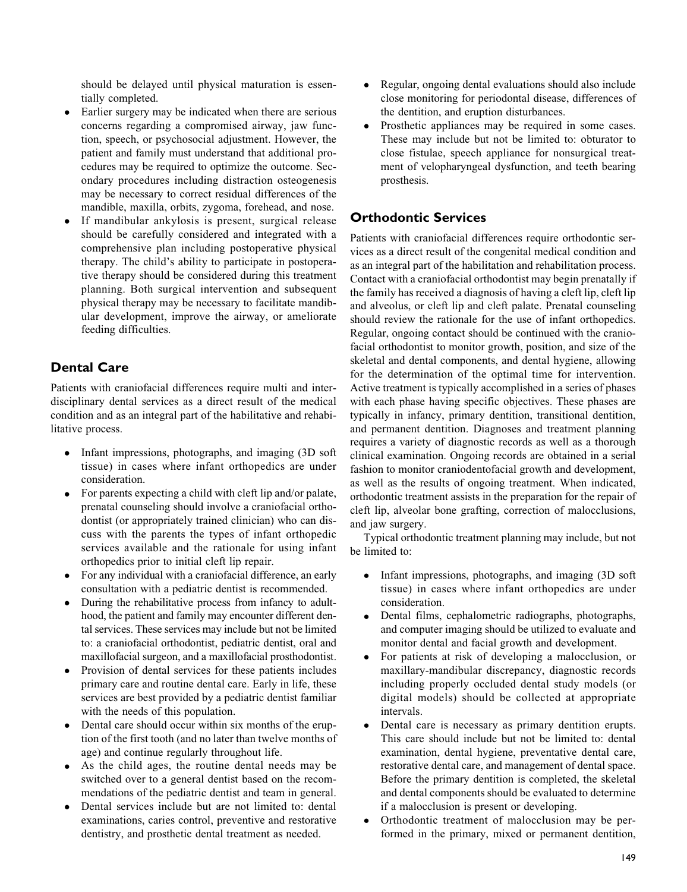should be delayed until physical maturation is essentially completed.

- $\bullet$  Earlier surgery may be indicated when there are serious concerns regarding a compromised airway, jaw function, speech, or psychosocial adjustment. However, the patient and family must understand that additional procedures may be required to optimize the outcome. Secondary procedures including distraction osteogenesis may be necessary to correct residual differences of the mandible, maxilla, orbits, zygoma, forehead, and nose.
- $\bullet$  If mandibular ankylosis is present, surgical release should be carefully considered and integrated with a comprehensive plan including postoperative physical therapy. The child's ability to participate in postoperative therapy should be considered during this treatment planning. Both surgical intervention and subsequent physical therapy may be necessary to facilitate mandibular development, improve the airway, or ameliorate feeding difficulties.

## Dental Care

Patients with craniofacial differences require multi and interdisciplinary dental services as a direct result of the medical condition and as an integral part of the habilitative and rehabilitative process.

- $\bullet$  Infant impressions, photographs, and imaging (3D soft tissue) in cases where infant orthopedics are under consideration.
- $\bullet$  For parents expecting a child with cleft lip and/or palate, prenatal counseling should involve a craniofacial orthodontist (or appropriately trained clinician) who can discuss with the parents the types of infant orthopedic services available and the rationale for using infant orthopedics prior to initial cleft lip repair.
- For any individual with a craniofacial difference, an early consultation with a pediatric dentist is recommended.
- $\bullet$  During the rehabilitative process from infancy to adulthood, the patient and family may encounter different dental services. These services may include but not be limited to: a craniofacial orthodontist, pediatric dentist, oral and maxillofacial surgeon, and a maxillofacial prosthodontist.
- $\bullet$  Provision of dental services for these patients includes primary care and routine dental care. Early in life, these services are best provided by a pediatric dentist familiar with the needs of this population.
- $\bullet$  Dental care should occur within six months of the eruption of the first tooth (and no later than twelve months of age) and continue regularly throughout life.
- $\bullet$  As the child ages, the routine dental needs may be switched over to a general dentist based on the recommendations of the pediatric dentist and team in general.
- $\bullet$  Dental services include but are not limited to: dental examinations, caries control, preventive and restorative dentistry, and prosthetic dental treatment as needed.
- $\bullet$  Regular, ongoing dental evaluations should also include close monitoring for periodontal disease, differences of the dentition, and eruption disturbances.
- $\bullet$  Prosthetic appliances may be required in some cases. These may include but not be limited to: obturator to close fistulae, speech appliance for nonsurgical treatment of velopharyngeal dysfunction, and teeth bearing prosthesis.

## Orthodontic Services

Patients with craniofacial differences require orthodontic services as a direct result of the congenital medical condition and as an integral part of the habilitation and rehabilitation process. Contact with a craniofacial orthodontist may begin prenatally if the family has received a diagnosis of having a cleft lip, cleft lip and alveolus, or cleft lip and cleft palate. Prenatal counseling should review the rationale for the use of infant orthopedics. Regular, ongoing contact should be continued with the craniofacial orthodontist to monitor growth, position, and size of the skeletal and dental components, and dental hygiene, allowing for the determination of the optimal time for intervention. Active treatment is typically accomplished in a series of phases with each phase having specific objectives. These phases are typically in infancy, primary dentition, transitional dentition, and permanent dentition. Diagnoses and treatment planning requires a variety of diagnostic records as well as a thorough clinical examination. Ongoing records are obtained in a serial fashion to monitor craniodentofacial growth and development, as well as the results of ongoing treatment. When indicated, orthodontic treatment assists in the preparation for the repair of cleft lip, alveolar bone grafting, correction of malocclusions, and jaw surgery.

Typical orthodontic treatment planning may include, but not be limited to:

- $\bullet$  Infant impressions, photographs, and imaging (3D soft tissue) in cases where infant orthopedics are under consideration.
- $\bullet$  Dental films, cephalometric radiographs, photographs, and computer imaging should be utilized to evaluate and monitor dental and facial growth and development.
- $\bullet$  For patients at risk of developing a malocclusion, or maxillary-mandibular discrepancy, diagnostic records including properly occluded dental study models (or digital models) should be collected at appropriate intervals.
- $\bullet$  Dental care is necessary as primary dentition erupts. This care should include but not be limited to: dental examination, dental hygiene, preventative dental care, restorative dental care, and management of dental space. Before the primary dentition is completed, the skeletal and dental components should be evaluated to determine if a malocclusion is present or developing.
- $\bullet$  Orthodontic treatment of malocclusion may be performed in the primary, mixed or permanent dentition,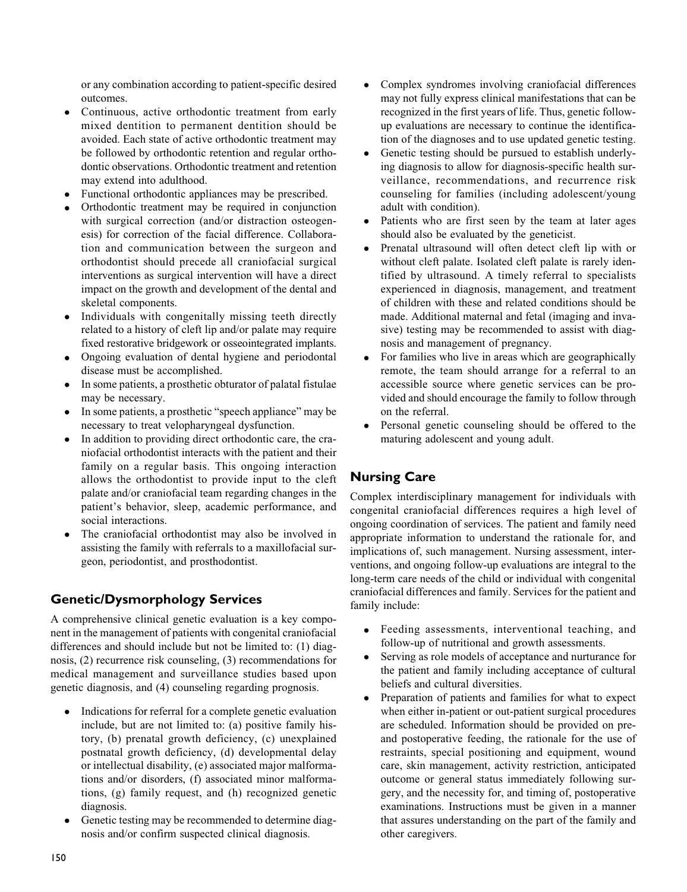or any combination according to patient-specific desired outcomes.

- $\bullet$  Continuous, active orthodontic treatment from early mixed dentition to permanent dentition should be avoided. Each state of active orthodontic treatment may be followed by orthodontic retention and regular orthodontic observations. Orthodontic treatment and retention may extend into adulthood.
- $\bullet$ Functional orthodontic appliances may be prescribed.
- $\bullet$  Orthodontic treatment may be required in conjunction with surgical correction (and/or distraction osteogenesis) for correction of the facial difference. Collaboration and communication between the surgeon and orthodontist should precede all craniofacial surgical interventions as surgical intervention will have a direct impact on the growth and development of the dental and skeletal components.
- $\bullet$  Individuals with congenitally missing teeth directly related to a history of cleft lip and/or palate may require fixed restorative bridgework or osseointegrated implants.
- $\bullet$  Ongoing evaluation of dental hygiene and periodontal disease must be accomplished.
- $\bullet$  In some patients, a prosthetic obturator of palatal fistulae may be necessary.
- In some patients, a prosthetic "speech appliance" may be necessary to treat velopharyngeal dysfunction.
- $\bullet$  In addition to providing direct orthodontic care, the craniofacial orthodontist interacts with the patient and their family on a regular basis. This ongoing interaction allows the orthodontist to provide input to the cleft palate and/or craniofacial team regarding changes in the patient's behavior, sleep, academic performance, and social interactions.
- $\bullet$  The craniofacial orthodontist may also be involved in assisting the family with referrals to a maxillofacial surgeon, periodontist, and prosthodontist.

# Genetic/Dysmorphology Services

A comprehensive clinical genetic evaluation is a key component in the management of patients with congenital craniofacial differences and should include but not be limited to: (1) diagnosis, (2) recurrence risk counseling, (3) recommendations for medical management and surveillance studies based upon genetic diagnosis, and (4) counseling regarding prognosis.

- $\bullet$  Indications for referral for a complete genetic evaluation include, but are not limited to: (a) positive family history, (b) prenatal growth deficiency, (c) unexplained postnatal growth deficiency, (d) developmental delay or intellectual disability, (e) associated major malformations and/or disorders, (f) associated minor malformations, (g) family request, and (h) recognized genetic diagnosis.
- $\bullet$  Genetic testing may be recommended to determine diagnosis and/or confirm suspected clinical diagnosis.
- $\bullet$  Complex syndromes involving craniofacial differences may not fully express clinical manifestations that can be recognized in the first years of life. Thus, genetic followup evaluations are necessary to continue the identification of the diagnoses and to use updated genetic testing.
- $\bullet$  Genetic testing should be pursued to establish underlying diagnosis to allow for diagnosis-specific health surveillance, recommendations, and recurrence risk counseling for families (including adolescent/young adult with condition).
- $\bullet$  Patients who are first seen by the team at later ages should also be evaluated by the geneticist.
- $\bullet$  Prenatal ultrasound will often detect cleft lip with or without cleft palate. Isolated cleft palate is rarely identified by ultrasound. A timely referral to specialists experienced in diagnosis, management, and treatment of children with these and related conditions should be made. Additional maternal and fetal (imaging and invasive) testing may be recommended to assist with diagnosis and management of pregnancy.
- $\bullet$  For families who live in areas which are geographically remote, the team should arrange for a referral to an accessible source where genetic services can be provided and should encourage the family to follow through on the referral.
- $\bullet$  Personal genetic counseling should be offered to the maturing adolescent and young adult.

# Nursing Care

Complex interdisciplinary management for individuals with congenital craniofacial differences requires a high level of ongoing coordination of services. The patient and family need appropriate information to understand the rationale for, and implications of, such management. Nursing assessment, interventions, and ongoing follow-up evaluations are integral to the long-term care needs of the child or individual with congenital craniofacial differences and family. Services for the patient and family include:

- $\bullet$  Feeding assessments, interventional teaching, and follow-up of nutritional and growth assessments.
- $\bullet$  Serving as role models of acceptance and nurturance for the patient and family including acceptance of cultural beliefs and cultural diversities.
- $\bullet$  Preparation of patients and families for what to expect when either in-patient or out-patient surgical procedures are scheduled. Information should be provided on preand postoperative feeding, the rationale for the use of restraints, special positioning and equipment, wound care, skin management, activity restriction, anticipated outcome or general status immediately following surgery, and the necessity for, and timing of, postoperative examinations. Instructions must be given in a manner that assures understanding on the part of the family and other caregivers.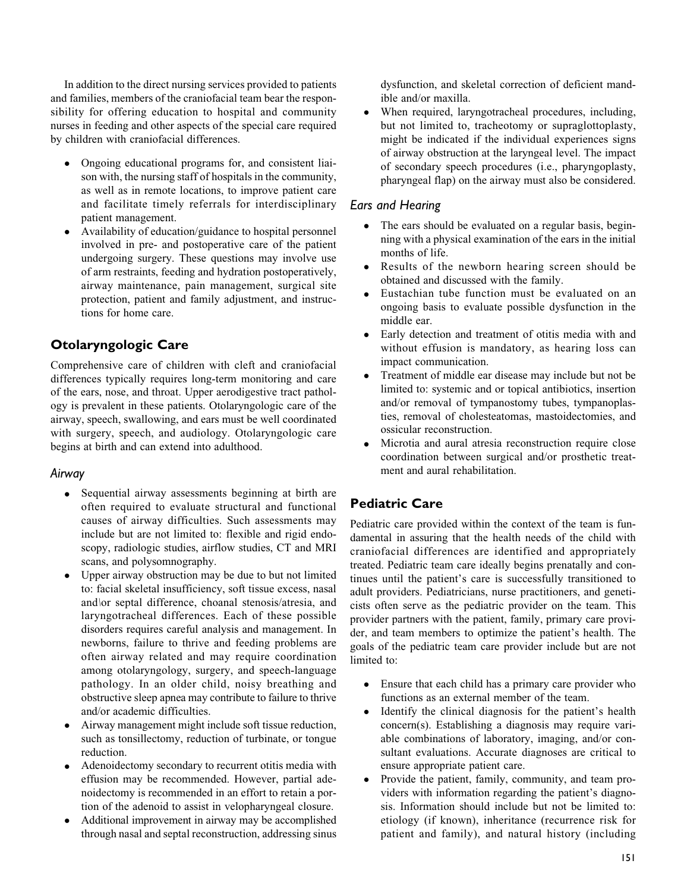In addition to the direct nursing services provided to patients and families, members of the craniofacial team bear the responsibility for offering education to hospital and community nurses in feeding and other aspects of the special care required by children with craniofacial differences.

- $\bullet$  Ongoing educational programs for, and consistent liaison with, the nursing staff of hospitals in the community, as well as in remote locations, to improve patient care and facilitate timely referrals for interdisciplinary patient management.
- $\bullet$  Availability of education/guidance to hospital personnel involved in pre- and postoperative care of the patient undergoing surgery. These questions may involve use of arm restraints, feeding and hydration postoperatively, airway maintenance, pain management, surgical site protection, patient and family adjustment, and instructions for home care.

# Otolaryngologic Care

Comprehensive care of children with cleft and craniofacial differences typically requires long-term monitoring and care of the ears, nose, and throat. Upper aerodigestive tract pathology is prevalent in these patients. Otolaryngologic care of the airway, speech, swallowing, and ears must be well coordinated with surgery, speech, and audiology. Otolaryngologic care begins at birth and can extend into adulthood.

## Airway

- Sequential airway assessments beginning at birth are often required to evaluate structural and functional causes of airway difficulties. Such assessments may include but are not limited to: flexible and rigid endoscopy, radiologic studies, airflow studies, CT and MRI scans, and polysomnography.
- $\bullet$  Upper airway obstruction may be due to but not limited to: facial skeletal insufficiency, soft tissue excess, nasal and\or septal difference, choanal stenosis/atresia, and laryngotracheal differences. Each of these possible disorders requires careful analysis and management. In newborns, failure to thrive and feeding problems are often airway related and may require coordination among otolaryngology, surgery, and speech-language pathology. In an older child, noisy breathing and obstructive sleep apnea may contribute to failure to thrive and/or academic difficulties.
- $\bullet$  Airway management might include soft tissue reduction, such as tonsillectomy, reduction of turbinate, or tongue reduction.
- $\bullet$  Adenoidectomy secondary to recurrent otitis media with effusion may be recommended. However, partial adenoidectomy is recommended in an effort to retain a portion of the adenoid to assist in velopharyngeal closure.
- $\bullet$  Additional improvement in airway may be accomplished through nasal and septal reconstruction, addressing sinus

dysfunction, and skeletal correction of deficient mandible and/or maxilla.

 $\bullet$  When required, laryngotracheal procedures, including, but not limited to, tracheotomy or supraglottoplasty, might be indicated if the individual experiences signs of airway obstruction at the laryngeal level. The impact of secondary speech procedures (i.e., pharyngoplasty, pharyngeal flap) on the airway must also be considered.

## Ears and Hearing

- $\bullet$  The ears should be evaluated on a regular basis, beginning with a physical examination of the ears in the initial months of life.
- $\bullet$  Results of the newborn hearing screen should be obtained and discussed with the family.
- $\bullet$  Eustachian tube function must be evaluated on an ongoing basis to evaluate possible dysfunction in the middle ear.
- $\bullet$  Early detection and treatment of otitis media with and without effusion is mandatory, as hearing loss can impact communication.
- $\bullet$  Treatment of middle ear disease may include but not be limited to: systemic and or topical antibiotics, insertion and/or removal of tympanostomy tubes, tympanoplasties, removal of cholesteatomas, mastoidectomies, and ossicular reconstruction.
- $\bullet$  Microtia and aural atresia reconstruction require close coordination between surgical and/or prosthetic treatment and aural rehabilitation.

# Pediatric Care

Pediatric care provided within the context of the team is fundamental in assuring that the health needs of the child with craniofacial differences are identified and appropriately treated. Pediatric team care ideally begins prenatally and continues until the patient's care is successfully transitioned to adult providers. Pediatricians, nurse practitioners, and geneticists often serve as the pediatric provider on the team. This provider partners with the patient, family, primary care provider, and team members to optimize the patient's health. The goals of the pediatric team care provider include but are not limited to:

- Ensure that each child has a primary care provider who functions as an external member of the team.
- $\bullet$  Identify the clinical diagnosis for the patient's health concern(s). Establishing a diagnosis may require variable combinations of laboratory, imaging, and/or consultant evaluations. Accurate diagnoses are critical to ensure appropriate patient care.
- $\bullet$  Provide the patient, family, community, and team providers with information regarding the patient's diagnosis. Information should include but not be limited to: etiology (if known), inheritance (recurrence risk for patient and family), and natural history (including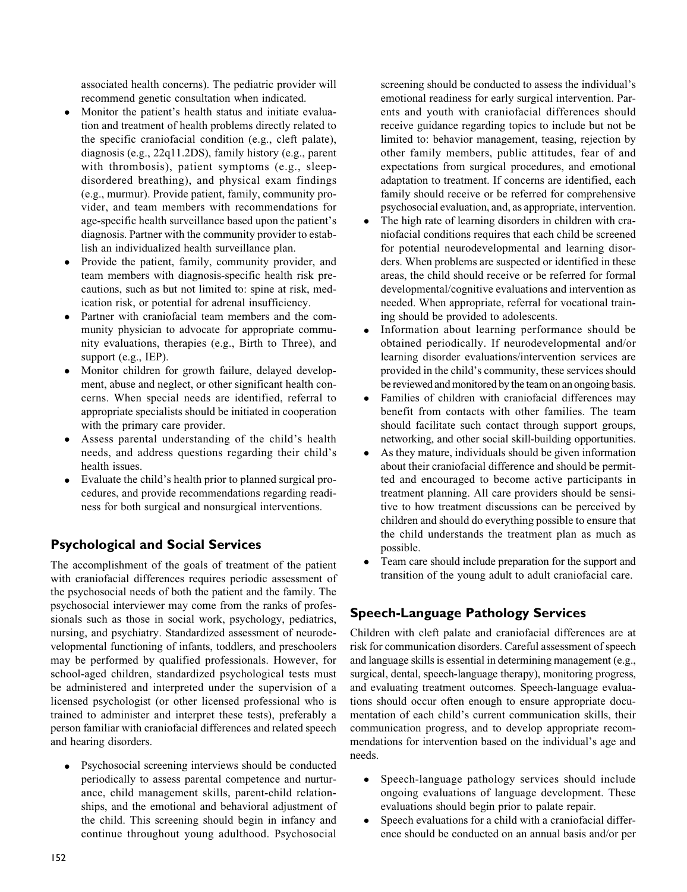associated health concerns). The pediatric provider will recommend genetic consultation when indicated.

- $\bullet$  Monitor the patient's health status and initiate evaluation and treatment of health problems directly related to the specific craniofacial condition (e.g., cleft palate), diagnosis (e.g., 22q11.2DS), family history (e.g., parent with thrombosis), patient symptoms (e.g., sleepdisordered breathing), and physical exam findings (e.g., murmur). Provide patient, family, community provider, and team members with recommendations for age-specific health surveillance based upon the patient's diagnosis. Partner with the community provider to establish an individualized health surveillance plan.
- $\bullet$  Provide the patient, family, community provider, and team members with diagnosis-specific health risk precautions, such as but not limited to: spine at risk, medication risk, or potential for adrenal insufficiency.
- $\bullet$  Partner with craniofacial team members and the community physician to advocate for appropriate community evaluations, therapies (e.g., Birth to Three), and support (e.g., IEP).
- $\bullet$  Monitor children for growth failure, delayed development, abuse and neglect, or other significant health concerns. When special needs are identified, referral to appropriate specialists should be initiated in cooperation with the primary care provider.
- $\bullet$  Assess parental understanding of the child's health needs, and address questions regarding their child's health issues.
- $\bullet$  Evaluate the child's health prior to planned surgical procedures, and provide recommendations regarding readiness for both surgical and nonsurgical interventions.

# Psychological and Social Services

The accomplishment of the goals of treatment of the patient with craniofacial differences requires periodic assessment of the psychosocial needs of both the patient and the family. The psychosocial interviewer may come from the ranks of professionals such as those in social work, psychology, pediatrics, nursing, and psychiatry. Standardized assessment of neurodevelopmental functioning of infants, toddlers, and preschoolers may be performed by qualified professionals. However, for school-aged children, standardized psychological tests must be administered and interpreted under the supervision of a licensed psychologist (or other licensed professional who is trained to administer and interpret these tests), preferably a person familiar with craniofacial differences and related speech and hearing disorders.

 $\bullet$  Psychosocial screening interviews should be conducted periodically to assess parental competence and nurturance, child management skills, parent-child relationships, and the emotional and behavioral adjustment of the child. This screening should begin in infancy and continue throughout young adulthood. Psychosocial

screening should be conducted to assess the individual's emotional readiness for early surgical intervention. Parents and youth with craniofacial differences should receive guidance regarding topics to include but not be limited to: behavior management, teasing, rejection by other family members, public attitudes, fear of and expectations from surgical procedures, and emotional adaptation to treatment. If concerns are identified, each family should receive or be referred for comprehensive psychosocial evaluation, and, as appropriate, intervention.

- $\bullet$  The high rate of learning disorders in children with craniofacial conditions requires that each child be screened for potential neurodevelopmental and learning disorders. When problems are suspected or identified in these areas, the child should receive or be referred for formal developmental/cognitive evaluations and intervention as needed. When appropriate, referral for vocational training should be provided to adolescents.
- $\bullet$  Information about learning performance should be obtained periodically. If neurodevelopmental and/or learning disorder evaluations/intervention services are provided in the child's community, these services should be reviewed and monitored by the team on an ongoing basis.
- $\bullet$  Families of children with craniofacial differences may benefit from contacts with other families. The team should facilitate such contact through support groups, networking, and other social skill-building opportunities.
- $\bullet$  As they mature, individuals should be given information about their craniofacial difference and should be permitted and encouraged to become active participants in treatment planning. All care providers should be sensitive to how treatment discussions can be perceived by children and should do everything possible to ensure that the child understands the treatment plan as much as possible.
- $\bullet$  Team care should include preparation for the support and transition of the young adult to adult craniofacial care.

# Speech-Language Pathology Services

Children with cleft palate and craniofacial differences are at risk for communication disorders. Careful assessment of speech and language skills is essential in determining management (e.g., surgical, dental, speech-language therapy), monitoring progress, and evaluating treatment outcomes. Speech-language evaluations should occur often enough to ensure appropriate documentation of each child's current communication skills, their communication progress, and to develop appropriate recommendations for intervention based on the individual's age and needs.

- $\bullet$  Speech-language pathology services should include ongoing evaluations of language development. These evaluations should begin prior to palate repair.
- $\bullet$  Speech evaluations for a child with a craniofacial difference should be conducted on an annual basis and/or per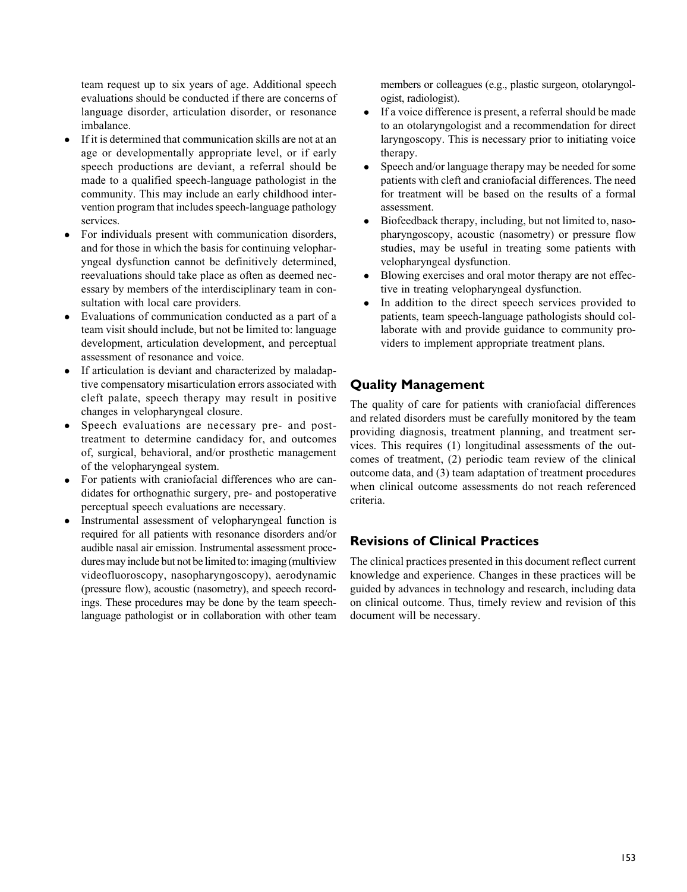team request up to six years of age. Additional speech evaluations should be conducted if there are concerns of language disorder, articulation disorder, or resonance imbalance.

- $\bullet$  If it is determined that communication skills are not at an age or developmentally appropriate level, or if early speech productions are deviant, a referral should be made to a qualified speech-language pathologist in the community. This may include an early childhood intervention program that includes speech-language pathology services.
- $\bullet$  For individuals present with communication disorders, and for those in which the basis for continuing velopharyngeal dysfunction cannot be definitively determined, reevaluations should take place as often as deemed necessary by members of the interdisciplinary team in consultation with local care providers.
- $\bullet$  Evaluations of communication conducted as a part of a team visit should include, but not be limited to: language development, articulation development, and perceptual assessment of resonance and voice.
- $\bullet$  If articulation is deviant and characterized by maladaptive compensatory misarticulation errors associated with cleft palate, speech therapy may result in positive changes in velopharyngeal closure.
- $\bullet$  Speech evaluations are necessary pre- and posttreatment to determine candidacy for, and outcomes of, surgical, behavioral, and/or prosthetic management of the velopharyngeal system.
- $\bullet$  For patients with craniofacial differences who are candidates for orthognathic surgery, pre- and postoperative perceptual speech evaluations are necessary.
- $\bullet$  Instrumental assessment of velopharyngeal function is required for all patients with resonance disorders and/or audible nasal air emission. Instrumental assessment procedures may include but not be limited to: imaging (multiview videofluoroscopy, nasopharyngoscopy), aerodynamic (pressure flow), acoustic (nasometry), and speech recordings. These procedures may be done by the team speechlanguage pathologist or in collaboration with other team

members or colleagues (e.g., plastic surgeon, otolaryngologist, radiologist).

- $\bullet$  If a voice difference is present, a referral should be made to an otolaryngologist and a recommendation for direct laryngoscopy. This is necessary prior to initiating voice therapy.
- $\bullet$  Speech and/or language therapy may be needed for some patients with cleft and craniofacial differences. The need for treatment will be based on the results of a formal assessment.
- $\bullet$  Biofeedback therapy, including, but not limited to, nasopharyngoscopy, acoustic (nasometry) or pressure flow studies, may be useful in treating some patients with velopharyngeal dysfunction.
- $\bullet$  Blowing exercises and oral motor therapy are not effective in treating velopharyngeal dysfunction.
- $\bullet$  In addition to the direct speech services provided to patients, team speech-language pathologists should collaborate with and provide guidance to community providers to implement appropriate treatment plans.

# Quality Management

The quality of care for patients with craniofacial differences and related disorders must be carefully monitored by the team providing diagnosis, treatment planning, and treatment services. This requires (1) longitudinal assessments of the outcomes of treatment, (2) periodic team review of the clinical outcome data, and (3) team adaptation of treatment procedures when clinical outcome assessments do not reach referenced criteria.

# Revisions of Clinical Practices

The clinical practices presented in this document reflect current knowledge and experience. Changes in these practices will be guided by advances in technology and research, including data on clinical outcome. Thus, timely review and revision of this document will be necessary.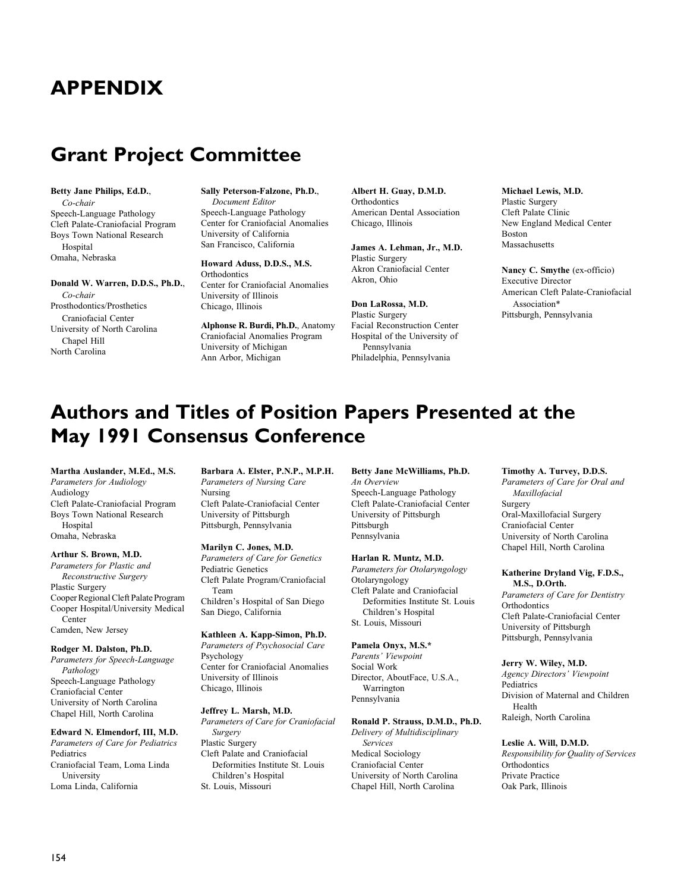# APPENDIX

# Grant Project Committee

#### Betty Jane Philips, Ed.D., Co-chair Speech-Language Pathology Cleft Palate-Craniofacial Program Boys Town National Research Hospital Omaha, Nebraska

#### Donald W. Warren, D.D.S., Ph.D.,

Co-chair Prosthodontics/Prosthetics Craniofacial Center University of North Carolina Chapel Hill North Carolina

Sally Peterson-Falzone, Ph.D., Document Editor Speech-Language Pathology Center for Craniofacial Anomalies University of California San Francisco, California

Howard Aduss, D.D.S., M.S. **Orthodontics** Center for Craniofacial Anomalies University of Illinois Chicago, Illinois

Alphonse R. Burdi, Ph.D., Anatomy Craniofacial Anomalies Program University of Michigan Ann Arbor, Michigan

Albert H. Guay, D.M.D. **Orthodontics** American Dental Association Chicago, Illinois

James A. Lehman, Jr., M.D. Plastic Surgery Akron Craniofacial Center Akron, Ohio

Don LaRossa, M.D. Plastic Surgery Facial Reconstruction Center Hospital of the University of Pennsylvania Philadelphia, Pennsylvania

Michael Lewis, M.D. Plastic Surgery Cleft Palate Clinic New England Medical Center Boston Massachusetts

Nancy C. Smythe (ex-officio) Executive Director American Cleft Palate-Craniofacial Association\* Pittsburgh, Pennsylvania

# Authors and Titles of Position Papers Presented at the May 1991 Consensus Conference

Martha Auslander, M.Ed., M.S. Parameters for Audiology Audiology Cleft Palate-Craniofacial Program Boys Town National Research **Hospital** Omaha, Nebraska

Arthur S. Brown, M.D. Parameters for Plastic and Reconstructive Surgery Plastic Surgery Cooper Regional Cleft Palate Program Cooper Hospital/University Medical Center Camden, New Jersey

#### Rodger M. Dalston, Ph.D.

Parameters for Speech-Language Pathology Speech-Language Pathology Craniofacial Center University of North Carolina Chapel Hill, North Carolina

#### Edward N. Elmendorf, III, M.D.

Parameters of Care for Pediatrics **Pediatrics** Craniofacial Team, Loma Linda University Loma Linda, California

Barbara A. Elster, P.N.P., M.P.H. Parameters of Nursing Care Nursing Cleft Palate-Craniofacial Center University of Pittsburgh Pittsburgh, Pennsylvania

#### Marilyn C. Jones, M.D.

Parameters of Care for Genetics Pediatric Genetics Cleft Palate Program/Craniofacial Team Children's Hospital of San Diego San Diego, California

#### Kathleen A. Kapp-Simon, Ph.D.

Parameters of Psychosocial Care Psychology Center for Craniofacial Anomalies University of Illinois Chicago, Illinois

#### Jeffrey L. Marsh, M.D.

Parameters of Care for Craniofacial Surgery Plastic Surgery Cleft Palate and Craniofacial Deformities Institute St. Louis Children's Hospital St. Louis, Missouri

Betty Jane McWilliams, Ph.D. An Overview Speech-Language Pathology Cleft Palate-Craniofacial Center University of Pittsburgh Pittsburgh Pennsylvania

#### Harlan R. Muntz, M.D.

Parameters for Otolaryngology Otolaryngology Cleft Palate and Craniofacial Deformities Institute St. Louis Children's Hospital St. Louis, Missouri

#### Pamela Onyx, M.S.\*

Parents' Viewpoint Social Work Director, AboutFace, U.S.A., Warrington Pennsylvania

#### Ronald P. Strauss, D.M.D., Ph.D.

Delivery of Multidisciplinary Services Medical Sociology Craniofacial Center University of North Carolina Chapel Hill, North Carolina

#### Timothy A. Turvey, D.D.S.

Parameters of Care for Oral and Maxillofacial Surgery Oral-Maxillofacial Surgery Craniofacial Center University of North Carolina Chapel Hill, North Carolina

#### Katherine Dryland Vig, F.D.S., M.S., D.Orth.

Parameters of Care for Dentistry **Orthodontics** Cleft Palate-Craniofacial Center University of Pittsburgh Pittsburgh, Pennsylvania

#### Jerry W. Wiley, M.D.

Agency Directors' Viewpoint Pediatrics Division of Maternal and Children Health Raleigh, North Carolina

#### Leslie A. Will, D.M.D.

Responsibility for Quality of Services **Orthodontics** Private Practice Oak Park, Illinois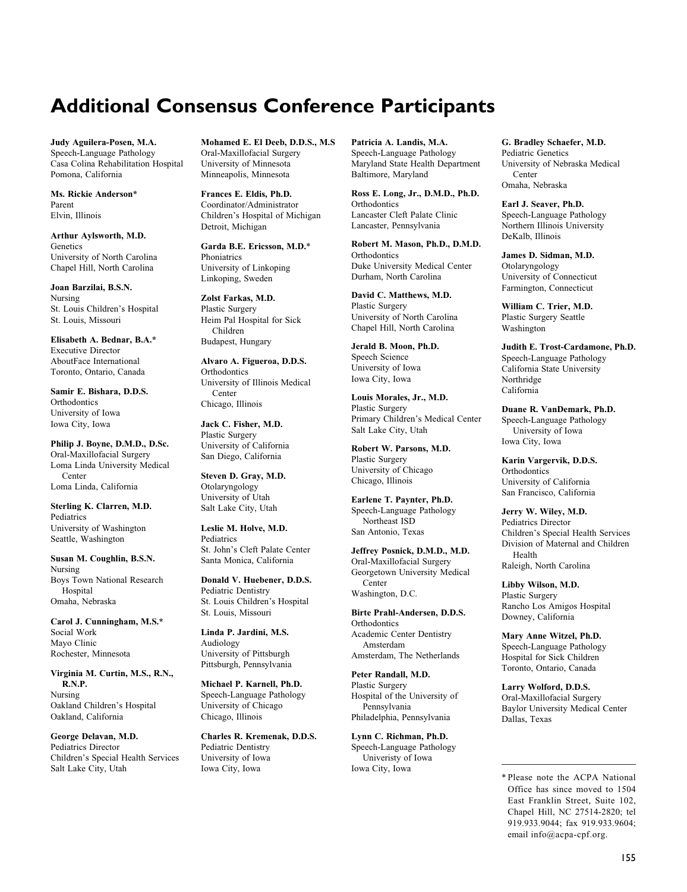# Additional Consensus Conference Participants

Judy Aguilera-Posen, M.A. Speech-Language Pathology Casa Colina Rehabilitation Hospital Pomona, California

Ms. Rickie Anderson\* Parent Elvin, Illinois

Arthur Aylsworth, M.D. **Genetics** University of North Carolina Chapel Hill, North Carolina

Joan Barzilai, B.S.N. Nursing St. Louis Children's Hospital St. Louis, Missouri

Elisabeth A. Bednar, B.A.\* Executive Director AboutFace International Toronto, Ontario, Canada

Samir E. Bishara, D.D.S. **Orthodontics** University of Iowa Iowa City, Iowa

Philip J. Boyne, D.M.D., D.Sc. Oral-Maxillofacial Surgery Loma Linda University Medical Center Loma Linda, California

Sterling K. Clarren, M.D. Pediatrics University of Washington Seattle, Washington

Susan M. Coughlin, B.S.N. Nursing Boys Town National Research Hospital Omaha, Nebraska

Carol J. Cunningham, M.S.\* Social Work Mayo Clinic Rochester, Minnesota

Virginia M. Curtin, M.S., R.N., R.N.P. Nursing Oakland Children's Hospital Oakland, California

George Delavan, M.D. Pediatrics Director Children's Special Health Services Salt Lake City, Utah

Mohamed E. El Deeb, D.D.S., M.S Oral-Maxillofacial Surgery University of Minnesota Minneapolis, Minnesota

Frances E. Eldis, Ph.D. Coordinator/Administrator Children's Hospital of Michigan Detroit, Michigan

Garda B.E. Ericsson, M.D.\* Phoniatrics University of Linkoping Linkoping, Sweden

Zolst Farkas, M.D. Plastic Surgery Heim Pal Hospital for Sick Children Budapest, Hungary

Alvaro A. Figueroa, D.D.S. **Orthodontics** University of Illinois Medical Center

Chicago, Illinois Jack C. Fisher, M.D.

Plastic Surgery University of California San Diego, California

Steven D. Gray, M.D. Otolaryngology University of Utah Salt Lake City, Utah

Leslie M. Holve, M.D. Pediatrics St. John's Cleft Palate Center Santa Monica, California

Donald V. Huebener, D.D.S. Pediatric Dentistry St. Louis Children's Hospital St. Louis, Missouri

Linda P. Jardini, M.S. Audiology University of Pittsburgh Pittsburgh, Pennsylvania

Michael P. Karnell, Ph.D. Speech-Language Pathology University of Chicago Chicago, Illinois

Charles R. Kremenak, D.D.S. Pediatric Dentistry University of Iowa Iowa City, Iowa

Patricia A. Landis, M.A. Speech-Language Pathology Maryland State Health Department Baltimore, Maryland

Ross E. Long, Jr., D.M.D., Ph.D. **Orthodontics** Lancaster Cleft Palate Clinic Lancaster, Pennsylvania

Robert M. Mason, Ph.D., D.M.D. **Orthodontics** Duke University Medical Center Durham, North Carolina

David C. Matthews, M.D. Plastic Surgery University of North Carolina Chapel Hill, North Carolina

Jerald B. Moon, Ph.D. Speech Science University of Iowa Iowa City, Iowa

Louis Morales, Jr., M.D. Plastic Surgery Primary Children's Medical Center Salt Lake City, Utah

Robert W. Parsons, M.D. Plastic Surgery University of Chicago Chicago, Illinois

Earlene T. Paynter, Ph.D. Speech-Language Pathology Northeast ISD San Antonio, Texas

Jeffrey Posnick, D.M.D., M.D. Oral-Maxillofacial Surgery Georgetown University Medical Center Washington, D.C.

Birte Prahl-Andersen, D.D.S. **Orthodontics** Academic Center Dentistry Amsterdam Amsterdam, The Netherlands

Peter Randall, M.D. Plastic Surgery Hospital of the University of Pennsylvania Philadelphia, Pennsylvania

Lynn C. Richman, Ph.D. Speech-Language Pathology Univeristy of Iowa Iowa City, Iowa

G. Bradley Schaefer, M.D. Pediatric Genetics University of Nebraska Medical **Center** Omaha, Nebraska

Earl J. Seaver, Ph.D. Speech-Language Pathology Northern Illinois University DeKalb, Illinois

James D. Sidman, M.D. Otolaryngology University of Connecticut Farmington, Connecticut

William C. Trier, M.D. Plastic Surgery Seattle Washington

Judith E. Trost-Cardamone, Ph.D. Speech-Language Pathology California State University Northridge California

Duane R. VanDemark, Ph.D. Speech-Language Pathology University of Iowa Iowa City, Iowa

Karin Vargervik, D.D.S. **Orthodontics** University of California San Francisco, California

Jerry W. Wiley, M.D. Pediatrics Director Children's Special Health Services Division of Maternal and Children Health Raleigh, North Carolina

Libby Wilson, M.D. Plastic Surgery Rancho Los Amigos Hospital Downey, California

Mary Anne Witzel, Ph.D. Speech-Language Pathology Hospital for Sick Children Toronto, Ontario, Canada

Larry Wolford, D.D.S. Oral-Maxillofacial Surgery Baylor University Medical Center Dallas, Texas

<sup>\*</sup> Please note the ACPA National Office has since moved to 1504 East Franklin Street, Suite 102, Chapel Hill, NC 27514-2820; tel 919.933.9044; fax 919.933.9604; email [info@acpa-cpf.org.](mailto:info@acpa-cpf.org)